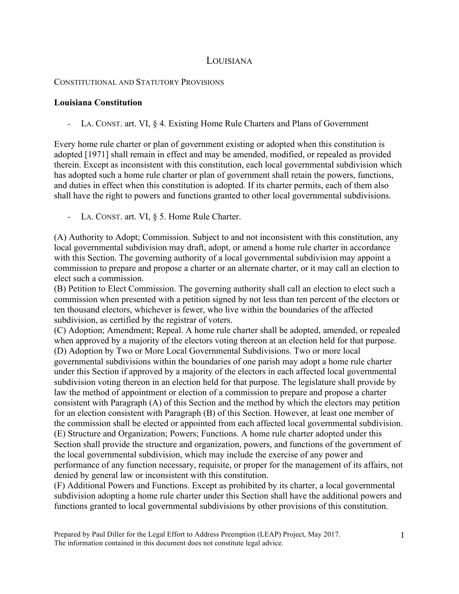## LOUISIANA

## CONSTITUTIONAL AND STATUTORY PROVISIONS

## **Louisiana Constitution**

LA. CONST. art. VI, § 4. Existing Home Rule Charters and Plans of Government

Every home rule charter or plan of government existing or adopted when this constitution is adopted [1971] shall remain in effect and may be amended, modified, or repealed as provided therein. Except as inconsistent with this constitution, each local governmental subdivision which has adopted such a home rule charter or plan of government shall retain the powers, functions, and duties in effect when this constitution is adopted. If its charter permits, each of them also shall have the right to powers and functions granted to other local governmental subdivisions.

- LA. CONST. art. VI, § 5. Home Rule Charter.

(A) Authority to Adopt; Commission. Subject to and not inconsistent with this constitution, any local governmental subdivision may draft, adopt, or amend a home rule charter in accordance with this Section. The governing authority of a local governmental subdivision may appoint a commission to prepare and propose a charter or an alternate charter, or it may call an election to elect such a commission.

(B) Petition to Elect Commission. The governing authority shall call an election to elect such a commission when presented with a petition signed by not less than ten percent of the electors or ten thousand electors, whichever is fewer, who live within the boundaries of the affected subdivision, as certified by the registrar of voters.

(C) Adoption; Amendment; Repeal. A home rule charter shall be adopted, amended, or repealed when approved by a majority of the electors voting thereon at an election held for that purpose. (D) Adoption by Two or More Local Governmental Subdivisions. Two or more local governmental subdivisions within the boundaries of one parish may adopt a home rule charter under this Section if approved by a majority of the electors in each affected local governmental subdivision voting thereon in an election held for that purpose. The legislature shall provide by law the method of appointment or election of a commission to prepare and propose a charter consistent with Paragraph (A) of this Section and the method by which the electors may petition for an election consistent with Paragraph (B) of this Section. However, at least one member of the commission shall be elected or appointed from each affected local governmental subdivision. (E) Structure and Organization; Powers; Functions. A home rule charter adopted under this Section shall provide the structure and organization, powers, and functions of the government of the local governmental subdivision, which may include the exercise of any power and performance of any function necessary, requisite, or proper for the management of its affairs, not denied by general law or inconsistent with this constitution.

(F) Additional Powers and Functions. Except as prohibited by its charter, a local governmental subdivision adopting a home rule charter under this Section shall have the additional powers and functions granted to local governmental subdivisions by other provisions of this constitution.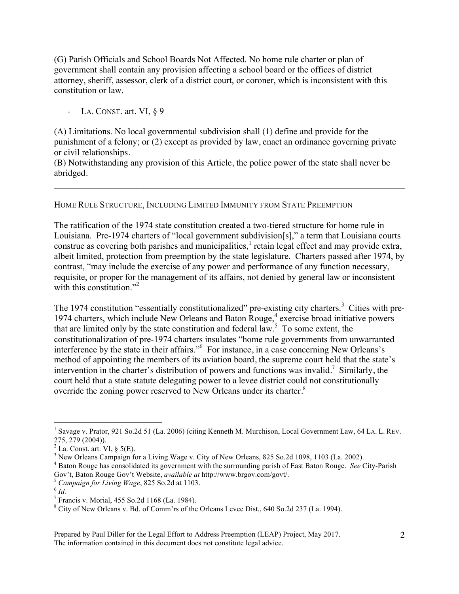(G) Parish Officials and School Boards Not Affected. No home rule charter or plan of government shall contain any provision affecting a school board or the offices of district attorney, sheriff, assessor, clerk of a district court, or coroner, which is inconsistent with this constitution or law.

LA. CONST. art. VI, § 9

(A) Limitations. No local governmental subdivision shall (1) define and provide for the punishment of a felony; or (2) except as provided by law, enact an ordinance governing private or civil relationships.

(B) Notwithstanding any provision of this Article, the police power of the state shall never be abridged.

 $\mathcal{L}_\mathcal{L} = \{ \mathcal{L}_\mathcal{L} = \{ \mathcal{L}_\mathcal{L} = \{ \mathcal{L}_\mathcal{L} = \{ \mathcal{L}_\mathcal{L} = \{ \mathcal{L}_\mathcal{L} = \{ \mathcal{L}_\mathcal{L} = \{ \mathcal{L}_\mathcal{L} = \{ \mathcal{L}_\mathcal{L} = \{ \mathcal{L}_\mathcal{L} = \{ \mathcal{L}_\mathcal{L} = \{ \mathcal{L}_\mathcal{L} = \{ \mathcal{L}_\mathcal{L} = \{ \mathcal{L}_\mathcal{L} = \{ \mathcal{L}_\mathcal{$ 

HOME RULE STRUCTURE, INCLUDING LIMITED IMMUNITY FROM STATE PREEMPTION

The ratification of the 1974 state constitution created a two-tiered structure for home rule in Louisiana. Pre-1974 charters of "local government subdivision[s]," a term that Louisiana courts construe as covering both parishes and municipalities,<sup>1</sup> retain legal effect and may provide extra, albeit limited, protection from preemption by the state legislature. Charters passed after 1974, by contrast, "may include the exercise of any power and performance of any function necessary, requisite, or proper for the management of its affairs, not denied by general law or inconsistent with this constitution. $2^2$ 

The 1974 constitution "essentially constitutionalized" pre-existing city charters.<sup>3</sup> Cities with pre-1974 charters, which include New Orleans and Baton Rouge,<sup>4</sup> exercise broad initiative powers that are limited only by the state constitution and federal  $law^5$ . To some extent, the constitutionalization of pre-1974 charters insulates "home rule governments from unwarranted interference by the state in their affairs." 6 For instance, in a case concerning New Orleans's method of appointing the members of its aviation board, the supreme court held that the state's intervention in the charter's distribution of powers and functions was invalid.<sup>7</sup> Similarly, the court held that a state statute delegating power to a levee district could not constitutionally override the zoning power reserved to New Orleans under its charter.<sup>8</sup>

 $\frac{1}{1}$ <sup>1</sup> Savage v. Prator, 921 So.2d 51 (La. 2006) (citing Kenneth M. Murchison, Local Government Law, 64 LA. L. REV. 275, 279 (2004)).<br><sup>2</sup> La. Const. art. VI, § 5(E).

<sup>&</sup>lt;sup>3</sup> New Orleans Campaign for a Living Wage v. City of New Orleans, 825 So.2d 1098, 1103 (La. 2002).

<sup>4</sup> Baton Rouge has consolidated its government with the surrounding parish of East Baton Rouge. *See* City-Parish Gov't, Baton Rouge Gov't Website, *available at* http://www.brgov.com/govt/.<br>
<sup>5</sup> *Campaign for Living Wage*, 825 So.2d at 1103.<br>
<sup>6</sup> *Id.* 

<sup>7</sup> Francis v. Morial, 455 So.2d 1168 (La. 1984).

<sup>8</sup> City of New Orleans v. Bd. of Comm'rs of the Orleans Levee Dist., 640 So.2d 237 (La. 1994).

Prepared by Paul Diller for the Legal Effort to Address Preemption (LEAP) Project, May 2017. The information contained in this document does not constitute legal advice.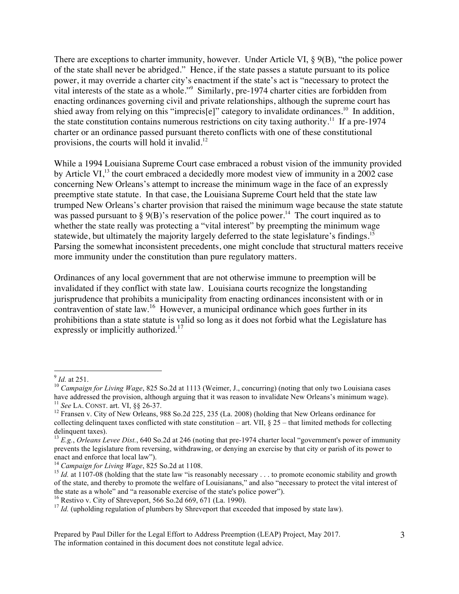There are exceptions to charter immunity, however. Under Article VI, § 9(B), "the police power of the state shall never be abridged." Hence, if the state passes a statute pursuant to its police power, it may override a charter city's enactment if the state's act is "necessary to protect the vital interests of the state as a whole."<sup>9</sup> Similarly, pre-1974 charter cities are forbidden from enacting ordinances governing civil and private relationships, although the supreme court has shied away from relying on this "imprecis[e]" category to invalidate ordinances.<sup>10</sup> In addition, the state constitution contains numerous restrictions on city taxing authority.<sup>11</sup> If a pre-1974 charter or an ordinance passed pursuant thereto conflicts with one of these constitutional provisions, the courts will hold it invalid. $12$ 

While a 1994 Louisiana Supreme Court case embraced a robust vision of the immunity provided by Article VI $^{13}$ , the court embraced a decidedly more modest view of immunity in a 2002 case concerning New Orleans's attempt to increase the minimum wage in the face of an expressly preemptive state statute. In that case, the Louisiana Supreme Court held that the state law trumped New Orleans's charter provision that raised the minimum wage because the state statute was passed pursuant to  $\S 9(B)$ 's reservation of the police power.<sup>14</sup> The court inquired as to whether the state really was protecting a "vital interest" by preempting the minimum wage statewide, but ultimately the majority largely deferred to the state legislature's findings.<sup>15</sup> Parsing the somewhat inconsistent precedents, one might conclude that structural matters receive more immunity under the constitution than pure regulatory matters.

Ordinances of any local government that are not otherwise immune to preemption will be invalidated if they conflict with state law. Louisiana courts recognize the longstanding jurisprudence that prohibits a municipality from enacting ordinances inconsistent with or in contravention of state law.<sup>16</sup> However, a municipal ordinance which goes further in its prohibitions than a state statute is valid so long as it does not forbid what the Legislature has expressly or implicitly authorized.<sup>17</sup>

<sup>&</sup>lt;sup>9</sup> *Id.* at 251.<br><sup>10</sup> *Campaign for Living Wage*, 825 So.2d at 1113 (Weimer, J., concurring) (noting that only two Louisiana cases have addressed the provision, although arguing that it was reason to invalidate New Orleans's minimum wage).<br><sup>11</sup> See LA. CONST. art. VI, §§ 26-37.<br><sup>12</sup> Fransen v. City of New Orleans, 988 So.2d 225, 235 (La. 2008) (holdin

collecting delinquent taxes conflicted with state constitution – art. VII,  $\S 25$  – that limited methods for collecting delinquent taxes).

<sup>13</sup> *E.g.*, *Orleans Levee Dist.*, 640 So.2d at 246 (noting that pre-1974 charter local "government's power of immunity prevents the legislature from reversing, withdrawing, or denying an exercise by that city or parish of its power to

<sup>&</sup>lt;sup>14</sup> *Campaign for Living Wage*, 825 So.2d at 1108.<br><sup>15</sup> *Id.* at 1107-08 (holding that the state law "is reasonably necessary . . . to promote economic stability and growth of the state, and thereby to promote the welfare of Louisianans," and also "necessary to protect the vital interest of the state as a whole" and "a reasonable exercise of the state's police power").

<sup>&</sup>lt;sup>16</sup> Restivo v. City of Shreveport, 566 So.2d 669, 671 (La. 1990).<br><sup>17</sup> *Id.* (upholding regulation of plumbers by Shreveport that exceeded that imposed by state law).